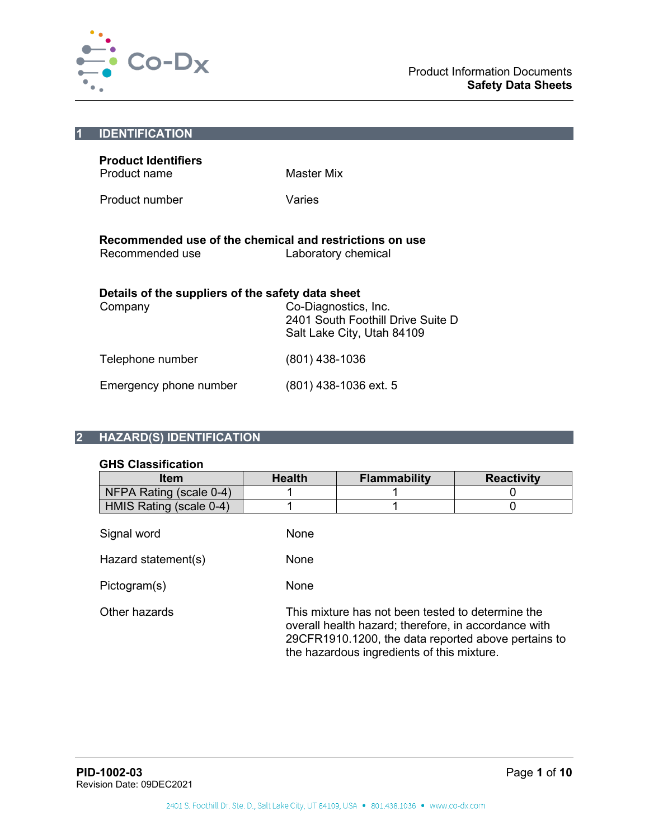

| <b>IDENTIFICATION</b>                                                      |                                                                                         |
|----------------------------------------------------------------------------|-----------------------------------------------------------------------------------------|
| <b>Product Identifiers</b><br>Product name                                 | Master Mix                                                                              |
| Product number                                                             | Varies                                                                                  |
| Recommended use of the chemical and restrictions on use<br>Recommended use | Laboratory chemical                                                                     |
| Details of the suppliers of the safety data sheet                          |                                                                                         |
| Company                                                                    | Co-Diagnostics, Inc.<br>2401 South Foothill Drive Suite D<br>Salt Lake City, Utah 84109 |
| Telephone number                                                           | (801) 438-1036                                                                          |
| Emergency phone number                                                     | (801) 438-1036 ext. 5                                                                   |
|                                                                            |                                                                                         |

# **2 HAZARD(S) IDENTIFICATION**

# **GHS Classification**

| ווטוואטוווכפוסט טרוט    |               |                                                                                                                                                                                                                |                   |
|-------------------------|---------------|----------------------------------------------------------------------------------------------------------------------------------------------------------------------------------------------------------------|-------------------|
| <b>Item</b>             | <b>Health</b> | <b>Flammability</b>                                                                                                                                                                                            | <b>Reactivity</b> |
| NFPA Rating (scale 0-4) |               |                                                                                                                                                                                                                |                   |
| HMIS Rating (scale 0-4) |               |                                                                                                                                                                                                                |                   |
| Signal word             | None          |                                                                                                                                                                                                                |                   |
| Hazard statement(s)     | None          |                                                                                                                                                                                                                |                   |
| Pictogram(s)            | None          |                                                                                                                                                                                                                |                   |
| Other hazards           |               | This mixture has not been tested to determine the<br>overall health hazard; therefore, in accordance with<br>29CFR1910.1200, the data reported above pertains to<br>the hazardous ingredients of this mixture. |                   |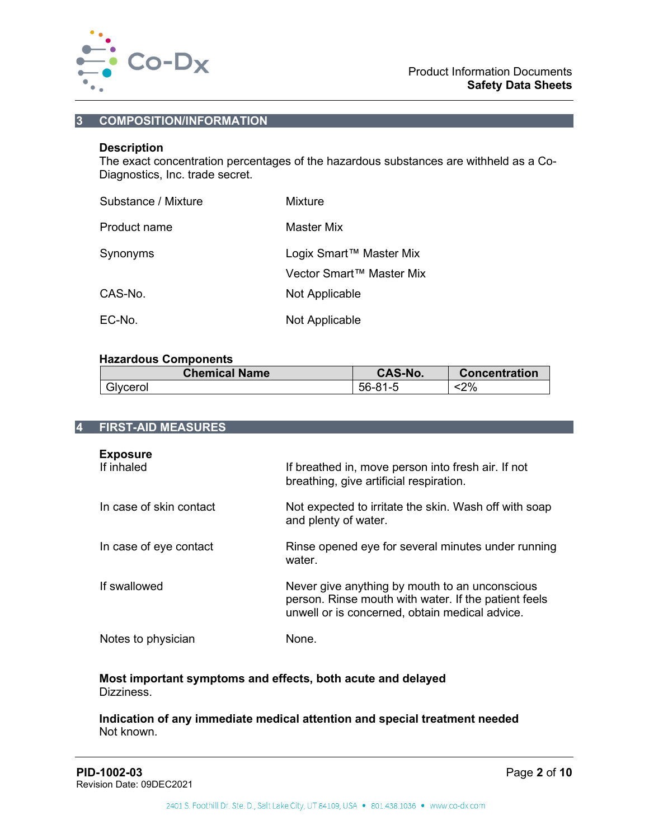

# **3 COMPOSITION/INFORMATION**

# **Description**

The exact concentration percentages of the hazardous substances are withheld as a Co-Diagnostics, Inc. trade secret.

| Substance / Mixture | Mixture                                             |
|---------------------|-----------------------------------------------------|
| Product name        | Master Mix                                          |
| Synonyms            | Logix Smart™ Master Mix<br>Vector Smart™ Master Mix |
| CAS-No.             | Not Applicable                                      |
| EC-No.              | Not Applicable                                      |

#### **Hazardous Components**

| <b>Chemical Name</b> | <b>CAS-No.</b> | <b>Concentration</b> |
|----------------------|----------------|----------------------|
| Glycerol             | $56 - 81 - 5$  | 2%>                  |

## **4 FIRST-AID MEASURES**

| <b>Exposure</b><br>If inhaled | If breathed in, move person into fresh air. If not<br>breathing, give artificial respiration.                                                            |
|-------------------------------|----------------------------------------------------------------------------------------------------------------------------------------------------------|
| In case of skin contact       | Not expected to irritate the skin. Wash off with soap<br>and plenty of water.                                                                            |
| In case of eye contact        | Rinse opened eye for several minutes under running<br>water.                                                                                             |
| If swallowed                  | Never give anything by mouth to an unconscious<br>person. Rinse mouth with water. If the patient feels<br>unwell or is concerned, obtain medical advice. |
| Notes to physician            | None.                                                                                                                                                    |

#### **Most important symptoms and effects, both acute and delayed** Dizziness.

#### **Indication of any immediate medical attention and special treatment needed** Not known.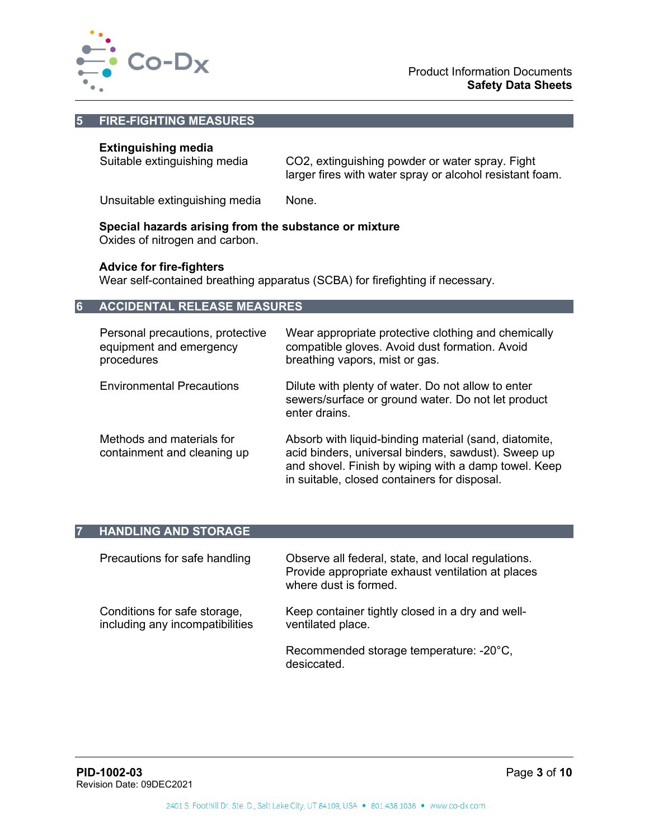

#### **5 FIRE-FIGHTING MEASURES**

# **Extinguishing media**

Suitable extinguishing media CO2, extinguishing powder or water spray. Fight larger fires with water spray or alcohol resistant foam.

Unsuitable extinguishing media None.

#### **Special hazards arising from the substance or mixture**

Oxides of nitrogen and carbon.

#### **Advice for fire-fighters**

Wear self-contained breathing apparatus (SCBA) for firefighting if necessary.

#### **6 ACCIDENTAL RELEASE MEASURES**

| Personal precautions, protective<br>equipment and emergency<br>procedures | Wear appropriate protective clothing and chemically<br>compatible gloves. Avoid dust formation. Avoid<br>breathing vapors, mist or gas.                                                                              |
|---------------------------------------------------------------------------|----------------------------------------------------------------------------------------------------------------------------------------------------------------------------------------------------------------------|
| <b>Environmental Precautions</b>                                          | Dilute with plenty of water. Do not allow to enter<br>sewers/surface or ground water. Do not let product<br>enter drains.                                                                                            |
| Methods and materials for<br>containment and cleaning up                  | Absorb with liquid-binding material (sand, diatomite,<br>acid binders, universal binders, sawdust). Sweep up<br>and shovel. Finish by wiping with a damp towel. Keep<br>in suitable, closed containers for disposal. |

## **7 HANDLING AND STORAGE**

| Precautions for safe handling                                   | Observe all federal, state, and local regulations.<br>Provide appropriate exhaust ventilation at places<br>where dust is formed. |
|-----------------------------------------------------------------|----------------------------------------------------------------------------------------------------------------------------------|
| Conditions for safe storage,<br>including any incompatibilities | Keep container tightly closed in a dry and well-<br>ventilated place.                                                            |
|                                                                 | Recommended storage temperature: -20°C,<br>desiccated.                                                                           |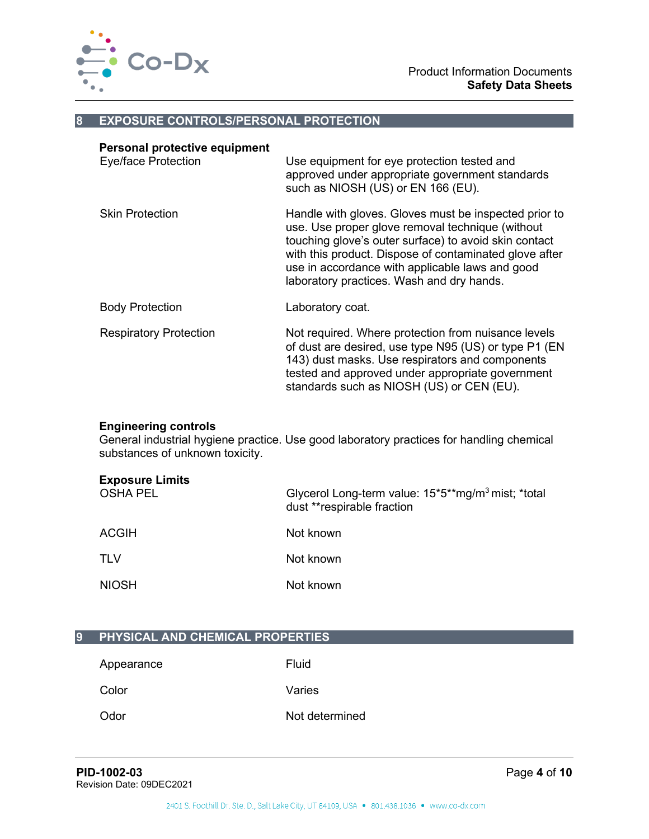

#### **8 EXPOSURE CONTROLS/PERSONAL PROTECTION**

| Personal protective equipment<br><b>Eye/face Protection</b> | Use equipment for eye protection tested and<br>approved under appropriate government standards<br>such as NIOSH (US) or EN 166 (EU).                                                                                                                                                                                         |
|-------------------------------------------------------------|------------------------------------------------------------------------------------------------------------------------------------------------------------------------------------------------------------------------------------------------------------------------------------------------------------------------------|
| <b>Skin Protection</b>                                      | Handle with gloves. Gloves must be inspected prior to<br>use. Use proper glove removal technique (without<br>touching glove's outer surface) to avoid skin contact<br>with this product. Dispose of contaminated glove after<br>use in accordance with applicable laws and good<br>laboratory practices. Wash and dry hands. |
| <b>Body Protection</b>                                      | Laboratory coat.                                                                                                                                                                                                                                                                                                             |
| <b>Respiratory Protection</b>                               | Not required. Where protection from nuisance levels<br>of dust are desired, use type N95 (US) or type P1 (EN<br>143) dust masks. Use respirators and components<br>tested and approved under appropriate government<br>standards such as NIOSH (US) or CEN (EU).                                                             |

## **Engineering controls**

General industrial hygiene practice. Use good laboratory practices for handling chemical substances of unknown toxicity.

| <b>Exposure Limits</b><br><b>OSHA PEL</b> | Glycerol Long-term value: 15*5**mg/m <sup>3</sup> mist; *total<br>dust **respirable fraction |
|-------------------------------------------|----------------------------------------------------------------------------------------------|
| ACGIH                                     | Not known                                                                                    |
| <b>TLV</b>                                | Not known                                                                                    |
| <b>NIOSH</b>                              | Not known                                                                                    |

# **9 PHYSICAL AND CHEMICAL PROPERTIES**

Color Varies

Appearance Fluid

Odor Not determined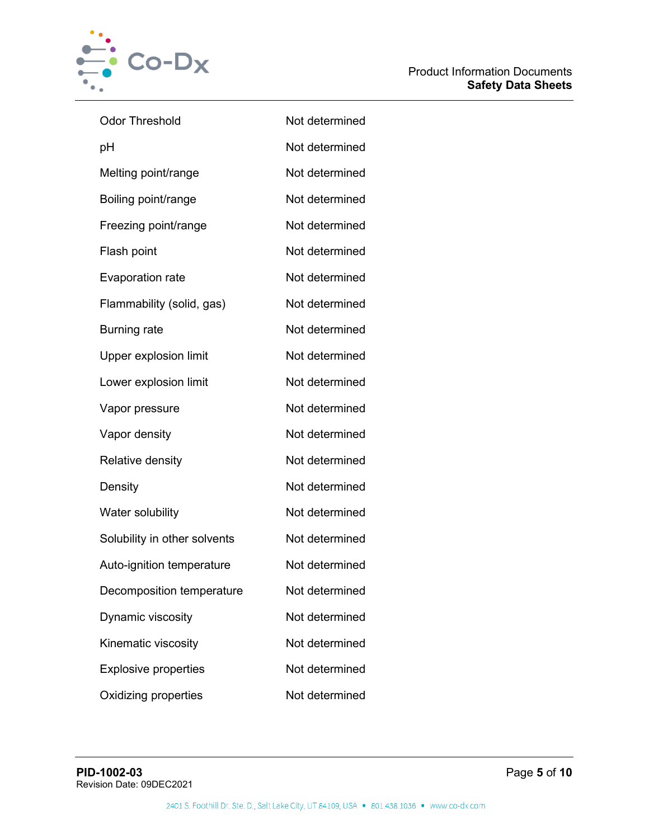

| <b>Odor Threshold</b>        | Not determined |
|------------------------------|----------------|
| рH                           | Not determined |
| Melting point/range          | Not determined |
| Boiling point/range          | Not determined |
| Freezing point/range         | Not determined |
| Flash point                  | Not determined |
| <b>Evaporation rate</b>      | Not determined |
| Flammability (solid, gas)    | Not determined |
| <b>Burning rate</b>          | Not determined |
| <b>Upper explosion limit</b> | Not determined |
| Lower explosion limit        | Not determined |
| Vapor pressure               | Not determined |
| Vapor density                | Not determined |
| Relative density             | Not determined |
| Density                      | Not determined |
| Water solubility             | Not determined |
| Solubility in other solvents | Not determined |
| Auto-ignition temperature    | Not determined |
| Decomposition temperature    | Not determined |
| Dynamic viscosity            | Not determined |
| Kinematic viscosity          | Not determined |
| <b>Explosive properties</b>  | Not determined |
| <b>Oxidizing properties</b>  | Not determined |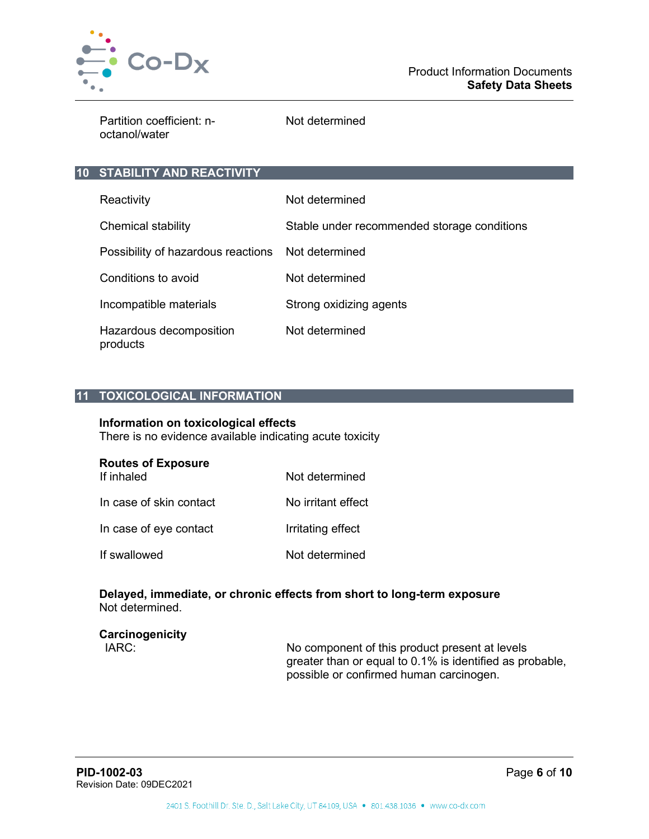

Partition coefficient: noctanol/water

Not determined

# **10 STABILITY AND REACTIVITY**

| Reactivity                                        | Not determined                              |
|---------------------------------------------------|---------------------------------------------|
| Chemical stability                                | Stable under recommended storage conditions |
| Possibility of hazardous reactions Not determined |                                             |
| Conditions to avoid                               | Not determined                              |
| Incompatible materials                            | Strong oxidizing agents                     |
| Hazardous decomposition<br>products               | Not determined                              |

# **11 TOXICOLOGICAL INFORMATION**

#### **Information on toxicological effects**

There is no evidence available indicating acute toxicity

| <b>Routes of Exposure</b> |                |
|---------------------------|----------------|
| If inhaled                | Not determined |

| In case of skin contact | No irritant effect |
|-------------------------|--------------------|
| In case of eye contact  | Irritating effect  |
| If swallowed            | Not determined     |

#### **Delayed, immediate, or chronic effects from short to long-term exposure** Not determined.

# **Carcinogenicity**

No component of this product present at levels greater than or equal to 0.1% is identified as probable, possible or confirmed human carcinogen.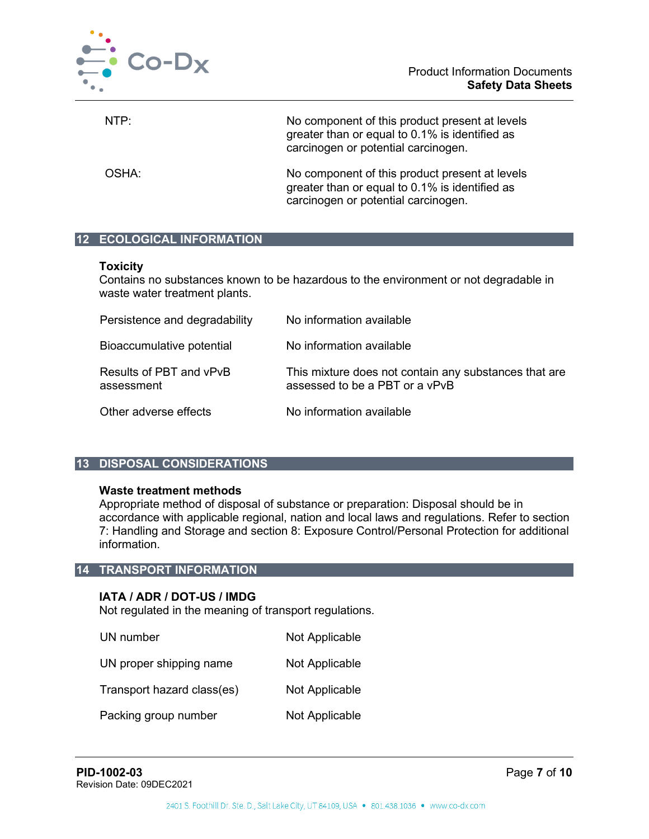

NTP: No component of this product present at levels greater than or equal to 0.1% is identified as carcinogen or potential carcinogen.

OSHA: No component of this product present at levels greater than or equal to 0.1% is identified as carcinogen or potential carcinogen.

# **12 ECOLOGICAL INFORMATION**

## **Toxicity**

Contains no substances known to be hazardous to the environment or not degradable in waste water treatment plants.

| Persistence and degradability         | No information available                                                                |
|---------------------------------------|-----------------------------------------------------------------------------------------|
| Bioaccumulative potential             | No information available                                                                |
| Results of PBT and vPvB<br>assessment | This mixture does not contain any substances that are<br>assessed to be a PBT or a vPvB |
| Other adverse effects                 | No information available                                                                |

# **13 DISPOSAL CONSIDERATIONS**

# **Waste treatment methods**

Appropriate method of disposal of substance or preparation: Disposal should be in accordance with applicable regional, nation and local laws and regulations. Refer to section 7: Handling and Storage and section 8: Exposure Control/Personal Protection for additional information.

# **14 TRANSPORT INFORMATION**

# **IATA / ADR / DOT-US / IMDG**

Not regulated in the meaning of transport regulations.

| UN number                  | Not Applicable |
|----------------------------|----------------|
| UN proper shipping name    | Not Applicable |
| Transport hazard class(es) | Not Applicable |
| Packing group number       | Not Applicable |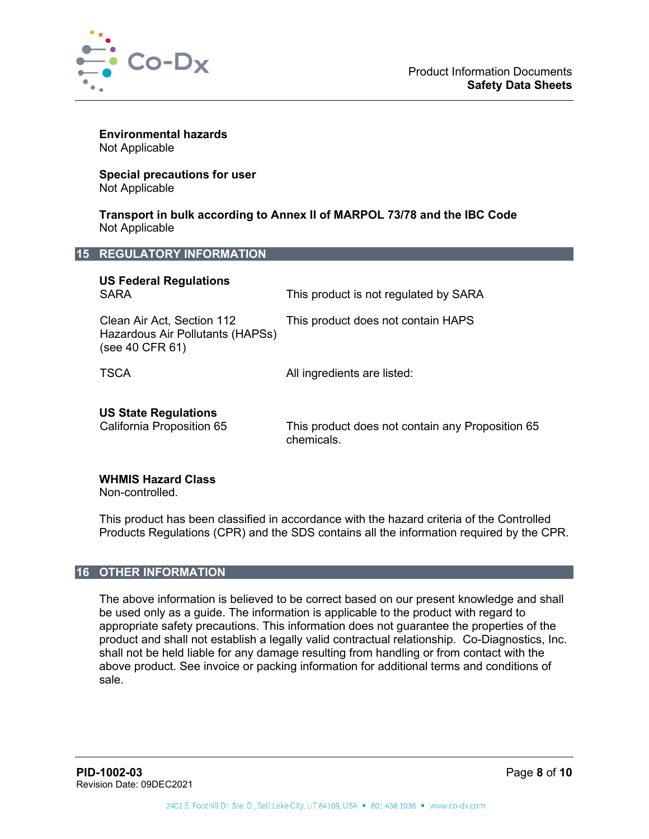

**Environmental hazards** Not Applicable

**Special precautions for user** Not Applicable

**Transport in bulk according to Annex II of MARPOL 73/78 and the IBC Code** Not Applicable

#### **15 REGULATORY INFORMATION**

| <b>US Federal Regulations</b><br><b>SARA</b>                                      | This product is not regulated by SARA                          |
|-----------------------------------------------------------------------------------|----------------------------------------------------------------|
| Clean Air Act, Section 112<br>Hazardous Air Pollutants (HAPSs)<br>(see 40 CFR 61) | This product does not contain HAPS                             |
| <b>TSCA</b>                                                                       | All ingredients are listed:                                    |
| <b>US State Regulations</b><br>California Proposition 65                          | This product does not contain any Proposition 65<br>chemicals. |

#### **WHMIS Hazard Class**

Non-controlled.

This product has been classified in accordance with the hazard criteria of the Controlled Products Regulations (CPR) and the SDS contains all the information required by the CPR.

# **16 OTHER INFORMATION**

The above information is believed to be correct based on our present knowledge and shall be used only as a guide. The information is applicable to the product with regard to appropriate safety precautions. This information does not guarantee the properties of the product and shall not establish a legally valid contractual relationship. Co-Diagnostics, Inc. shall not be held liable for any damage resulting from handling or from contact with the above product. See invoice or packing information for additional terms and conditions of sale.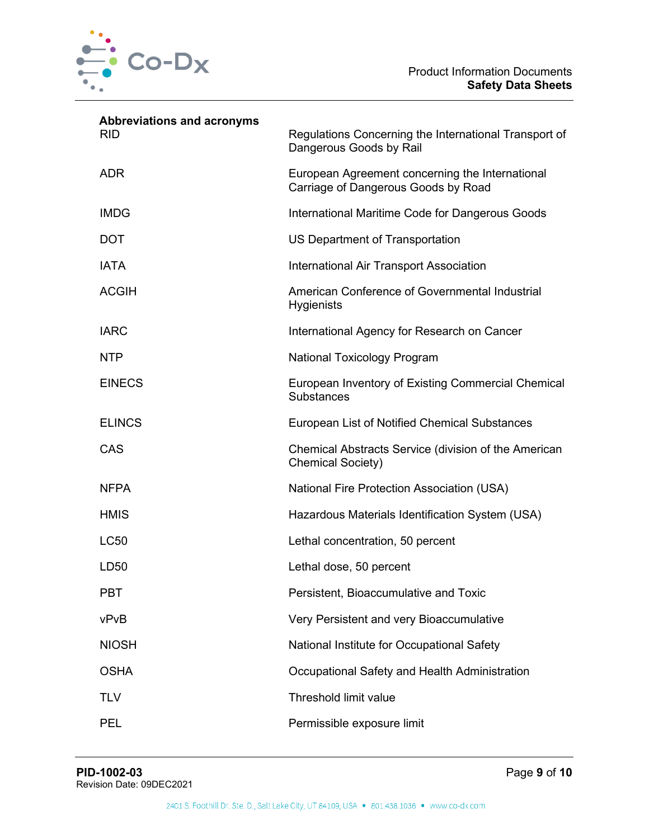

| <b>Abbreviations and acronyms</b><br><b>RID</b> | Regulations Concerning the International Transport of<br>Dangerous Goods by Rail       |
|-------------------------------------------------|----------------------------------------------------------------------------------------|
| <b>ADR</b>                                      | European Agreement concerning the International<br>Carriage of Dangerous Goods by Road |
| <b>IMDG</b>                                     | International Maritime Code for Dangerous Goods                                        |
| <b>DOT</b>                                      | US Department of Transportation                                                        |
| <b>IATA</b>                                     | International Air Transport Association                                                |
| <b>ACGIH</b>                                    | American Conference of Governmental Industrial<br><b>Hygienists</b>                    |
| <b>IARC</b>                                     | International Agency for Research on Cancer                                            |
| <b>NTP</b>                                      | National Toxicology Program                                                            |
| <b>EINECS</b>                                   | European Inventory of Existing Commercial Chemical<br><b>Substances</b>                |
| <b>ELINCS</b>                                   | European List of Notified Chemical Substances                                          |
| CAS                                             | Chemical Abstracts Service (division of the American<br><b>Chemical Society)</b>       |
| <b>NFPA</b>                                     | <b>National Fire Protection Association (USA)</b>                                      |
| <b>HMIS</b>                                     | Hazardous Materials Identification System (USA)                                        |
| <b>LC50</b>                                     | Lethal concentration, 50 percent                                                       |
| LD50                                            | Lethal dose, 50 percent                                                                |
| <b>PBT</b>                                      | Persistent, Bioaccumulative and Toxic                                                  |
| vPvB                                            | Very Persistent and very Bioaccumulative                                               |
| <b>NIOSH</b>                                    | National Institute for Occupational Safety                                             |
| <b>OSHA</b>                                     | Occupational Safety and Health Administration                                          |
| <b>TLV</b>                                      | Threshold limit value                                                                  |
| <b>PEL</b>                                      | Permissible exposure limit                                                             |